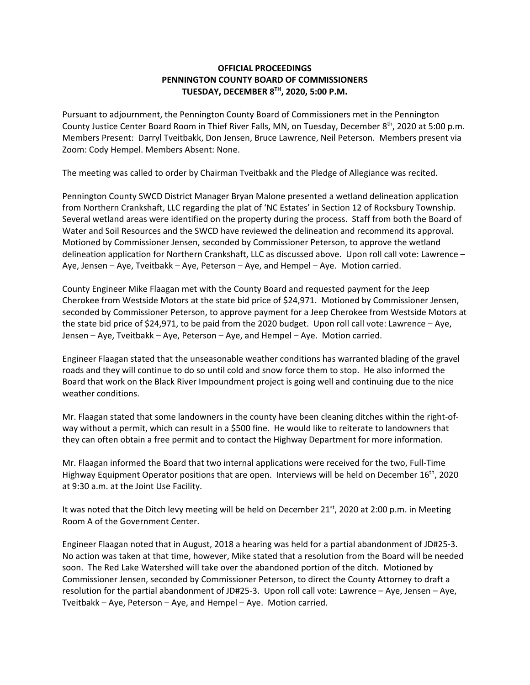## **OFFICIAL PROCEEDINGS PENNINGTON COUNTY BOARD OF COMMISSIONERS TUESDAY, DECEMBER 8TH, 2020, 5:00 P.M.**

Pursuant to adjournment, the Pennington County Board of Commissioners met in the Pennington County Justice Center Board Room in Thief River Falls, MN, on Tuesday, December 8th, 2020 at 5:00 p.m. Members Present: Darryl Tveitbakk, Don Jensen, Bruce Lawrence, Neil Peterson. Members present via Zoom: Cody Hempel. Members Absent: None.

The meeting was called to order by Chairman Tveitbakk and the Pledge of Allegiance was recited.

Pennington County SWCD District Manager Bryan Malone presented a wetland delineation application from Northern Crankshaft, LLC regarding the plat of 'NC Estates' in Section 12 of Rocksbury Township. Several wetland areas were identified on the property during the process. Staff from both the Board of Water and Soil Resources and the SWCD have reviewed the delineation and recommend its approval. Motioned by Commissioner Jensen, seconded by Commissioner Peterson, to approve the wetland delineation application for Northern Crankshaft, LLC as discussed above. Upon roll call vote: Lawrence – Aye, Jensen – Aye, Tveitbakk – Aye, Peterson – Aye, and Hempel – Aye. Motion carried.

County Engineer Mike Flaagan met with the County Board and requested payment for the Jeep Cherokee from Westside Motors at the state bid price of \$24,971. Motioned by Commissioner Jensen, seconded by Commissioner Peterson, to approve payment for a Jeep Cherokee from Westside Motors at the state bid price of \$24,971, to be paid from the 2020 budget. Upon roll call vote: Lawrence – Aye, Jensen – Aye, Tveitbakk – Aye, Peterson – Aye, and Hempel – Aye. Motion carried.

Engineer Flaagan stated that the unseasonable weather conditions has warranted blading of the gravel roads and they will continue to do so until cold and snow force them to stop. He also informed the Board that work on the Black River Impoundment project is going well and continuing due to the nice weather conditions.

Mr. Flaagan stated that some landowners in the county have been cleaning ditches within the right‐of‐ way without a permit, which can result in a \$500 fine. He would like to reiterate to landowners that they can often obtain a free permit and to contact the Highway Department for more information.

Mr. Flaagan informed the Board that two internal applications were received for the two, Full‐Time Highway Equipment Operator positions that are open. Interviews will be held on December  $16<sup>th</sup>$ , 2020 at 9:30 a.m. at the Joint Use Facility.

It was noted that the Ditch levy meeting will be held on December 21st, 2020 at 2:00 p.m. in Meeting Room A of the Government Center.

Engineer Flaagan noted that in August, 2018 a hearing was held for a partial abandonment of JD#25‐3. No action was taken at that time, however, Mike stated that a resolution from the Board will be needed soon. The Red Lake Watershed will take over the abandoned portion of the ditch. Motioned by Commissioner Jensen, seconded by Commissioner Peterson, to direct the County Attorney to draft a resolution for the partial abandonment of JD#25‐3. Upon roll call vote: Lawrence – Aye, Jensen – Aye, Tveitbakk – Aye, Peterson – Aye, and Hempel – Aye. Motion carried.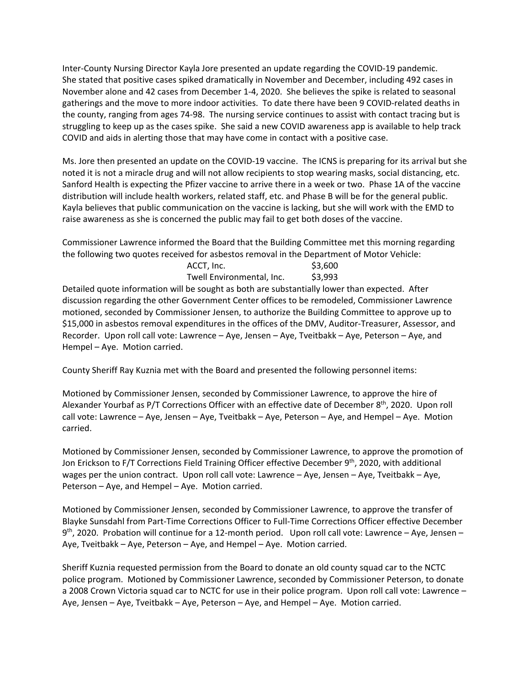Inter‐County Nursing Director Kayla Jore presented an update regarding the COVID‐19 pandemic. She stated that positive cases spiked dramatically in November and December, including 492 cases in November alone and 42 cases from December 1‐4, 2020. She believes the spike is related to seasonal gatherings and the move to more indoor activities. To date there have been 9 COVID‐related deaths in the county, ranging from ages 74‐98. The nursing service continues to assist with contact tracing but is struggling to keep up as the cases spike. She said a new COVID awareness app is available to help track COVID and aids in alerting those that may have come in contact with a positive case.

Ms. Jore then presented an update on the COVID-19 vaccine. The ICNS is preparing for its arrival but she noted it is not a miracle drug and will not allow recipients to stop wearing masks, social distancing, etc. Sanford Health is expecting the Pfizer vaccine to arrive there in a week or two. Phase 1A of the vaccine distribution will include health workers, related staff, etc. and Phase B will be for the general public. Kayla believes that public communication on the vaccine is lacking, but she will work with the EMD to raise awareness as she is concerned the public may fail to get both doses of the vaccine.

Commissioner Lawrence informed the Board that the Building Committee met this morning regarding the following two quotes received for asbestos removal in the Department of Motor Vehicle:

| ACCT, Inc.                | \$3,600 |
|---------------------------|---------|
| Twell Environmental, Inc. | \$3,993 |

Detailed quote information will be sought as both are substantially lower than expected. After discussion regarding the other Government Center offices to be remodeled, Commissioner Lawrence motioned, seconded by Commissioner Jensen, to authorize the Building Committee to approve up to \$15,000 in asbestos removal expenditures in the offices of the DMV, Auditor-Treasurer, Assessor, and Recorder. Upon roll call vote: Lawrence – Aye, Jensen – Aye, Tveitbakk – Aye, Peterson – Aye, and Hempel – Aye. Motion carried.

County Sheriff Ray Kuznia met with the Board and presented the following personnel items:

Motioned by Commissioner Jensen, seconded by Commissioner Lawrence, to approve the hire of Alexander Yourbaf as P/T Corrections Officer with an effective date of December 8th, 2020. Upon roll call vote: Lawrence – Aye, Jensen – Aye, Tveitbakk – Aye, Peterson – Aye, and Hempel – Aye. Motion carried.

Motioned by Commissioner Jensen, seconded by Commissioner Lawrence, to approve the promotion of Jon Erickson to F/T Corrections Field Training Officer effective December 9<sup>th</sup>, 2020, with additional wages per the union contract. Upon roll call vote: Lawrence – Aye, Jensen – Aye, Tveitbakk – Aye, Peterson – Aye, and Hempel – Aye. Motion carried.

Motioned by Commissioner Jensen, seconded by Commissioner Lawrence, to approve the transfer of Blayke Sunsdahl from Part‐Time Corrections Officer to Full‐Time Corrections Officer effective December  $9<sup>th</sup>$ , 2020. Probation will continue for a 12-month period. Upon roll call vote: Lawrence – Aye, Jensen – Aye, Tveitbakk – Aye, Peterson – Aye, and Hempel – Aye. Motion carried.

Sheriff Kuznia requested permission from the Board to donate an old county squad car to the NCTC police program. Motioned by Commissioner Lawrence, seconded by Commissioner Peterson, to donate a 2008 Crown Victoria squad car to NCTC for use in their police program. Upon roll call vote: Lawrence – Aye, Jensen – Aye, Tveitbakk – Aye, Peterson – Aye, and Hempel – Aye. Motion carried.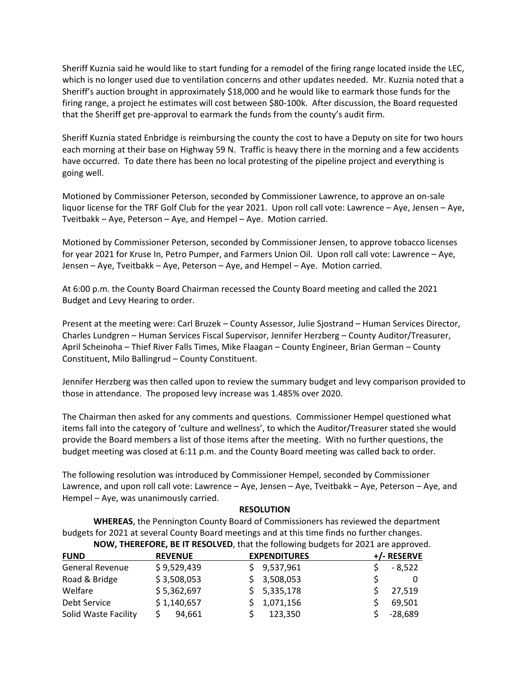Sheriff Kuznia said he would like to start funding for a remodel of the firing range located inside the LEC, which is no longer used due to ventilation concerns and other updates needed. Mr. Kuznia noted that a Sheriff's auction brought in approximately \$18,000 and he would like to earmark those funds for the firing range, a project he estimates will cost between \$80‐100k. After discussion, the Board requested that the Sheriff get pre‐approval to earmark the funds from the county's audit firm.

Sheriff Kuznia stated Enbridge is reimbursing the county the cost to have a Deputy on site for two hours each morning at their base on Highway 59 N. Traffic is heavy there in the morning and a few accidents have occurred. To date there has been no local protesting of the pipeline project and everything is going well.

Motioned by Commissioner Peterson, seconded by Commissioner Lawrence, to approve an on‐sale liquor license for the TRF Golf Club for the year 2021. Upon roll call vote: Lawrence – Aye, Jensen – Aye, Tveitbakk – Aye, Peterson – Aye, and Hempel – Aye. Motion carried.

Motioned by Commissioner Peterson, seconded by Commissioner Jensen, to approve tobacco licenses for year 2021 for Kruse In, Petro Pumper, and Farmers Union Oil. Upon roll call vote: Lawrence – Aye, Jensen – Aye, Tveitbakk – Aye, Peterson – Aye, and Hempel – Aye. Motion carried.

At 6:00 p.m. the County Board Chairman recessed the County Board meeting and called the 2021 Budget and Levy Hearing to order.

Present at the meeting were: Carl Bruzek – County Assessor, Julie Sjostrand – Human Services Director, Charles Lundgren – Human Services Fiscal Supervisor, Jennifer Herzberg – County Auditor/Treasurer, April Scheinoha – Thief River Falls Times, Mike Flaagan – County Engineer, Brian German – County Constituent, Milo Ballingrud – County Constituent.

Jennifer Herzberg was then called upon to review the summary budget and levy comparison provided to those in attendance. The proposed levy increase was 1.485% over 2020.

The Chairman then asked for any comments and questions. Commissioner Hempel questioned what items fall into the category of 'culture and wellness', to which the Auditor/Treasurer stated she would provide the Board members a list of those items after the meeting. With no further questions, the budget meeting was closed at 6:11 p.m. and the County Board meeting was called back to order.

The following resolution was introduced by Commissioner Hempel, seconded by Commissioner Lawrence, and upon roll call vote: Lawrence – Aye, Jensen – Aye, Tveitbakk – Aye, Peterson – Aye, and Hempel – Aye, was unanimously carried.

## **RESOLUTION**

**WHEREAS**, the Pennington County Board of Commissioners has reviewed the department budgets for 2021 at several County Board meetings and at this time finds no further changes. **NOW, THEREFORE, BE IT RESOLVED**, that the following budgets for 2021 are approved.

| <b>FUND</b>          | <b>REVENUE</b> | <b>EXPENDITURES</b> | +/- RESERVE |
|----------------------|----------------|---------------------|-------------|
| General Revenue      | \$9,529,439    | \$9,537,961         | $-8,522$    |
| Road & Bridge        | \$3,508,053    | \$3,508,053         |             |
| Welfare              | \$5,362,697    | \$5,335,178         | 27,519      |
| Debt Service         | \$1,140,657    | \$1,071,156         | 69,501      |
| Solid Waste Facility | 94,661         | 123,350             | $-28,689$   |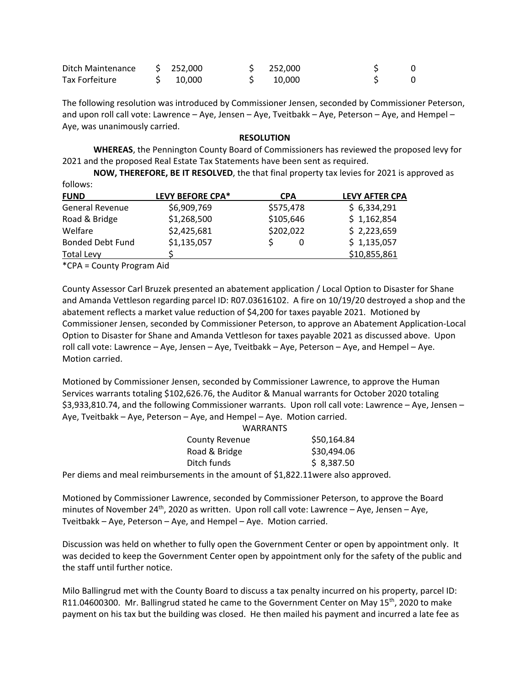| Ditch Maintenance | \$252.000       | $5$ 252,000 |  |
|-------------------|-----------------|-------------|--|
| Tax Forfeiture    | $5\quad 10.000$ | S 10.000    |  |

The following resolution was introduced by Commissioner Jensen, seconded by Commissioner Peterson, and upon roll call vote: Lawrence – Aye, Jensen – Aye, Tveitbakk – Aye, Peterson – Aye, and Hempel – Aye, was unanimously carried.

## **RESOLUTION**

**WHEREAS**, the Pennington County Board of Commissioners has reviewed the proposed levy for 2021 and the proposed Real Estate Tax Statements have been sent as required.

**NOW, THEREFORE, BE IT RESOLVED**, the that final property tax levies for 2021 is approved as follows:

| <b>FUND</b>             | <b>LEVY BEFORE CPA*</b> | <b>CPA</b> | <b>LEVY AFTER CPA</b> |
|-------------------------|-------------------------|------------|-----------------------|
| <b>General Revenue</b>  | \$6,909,769             | \$575,478  | \$6,334,291           |
| Road & Bridge           | \$1,268,500             | \$105,646  | \$1,162,854           |
| Welfare                 | \$2,425,681             | \$202,022  | \$2,223,659           |
| <b>Bonded Debt Fund</b> | \$1,135,057             |            | \$1,135,057           |
| <b>Total Levy</b>       |                         |            | \$10,855,861          |
|                         |                         |            |                       |

\*CPA = County Program Aid

County Assessor Carl Bruzek presented an abatement application / Local Option to Disaster for Shane and Amanda Vettleson regarding parcel ID: R07.03616102. A fire on 10/19/20 destroyed a shop and the abatement reflects a market value reduction of \$4,200 for taxes payable 2021. Motioned by Commissioner Jensen, seconded by Commissioner Peterson, to approve an Abatement Application‐Local Option to Disaster for Shane and Amanda Vettleson for taxes payable 2021 as discussed above. Upon roll call vote: Lawrence – Aye, Jensen – Aye, Tveitbakk – Aye, Peterson – Aye, and Hempel – Aye. Motion carried.

Motioned by Commissioner Jensen, seconded by Commissioner Lawrence, to approve the Human Services warrants totaling \$102,626.76, the Auditor & Manual warrants for October 2020 totaling \$3,933,810.74, and the following Commissioner warrants. Upon roll call vote: Lawrence – Aye, Jensen – Aye, Tveitbakk – Aye, Peterson – Aye, and Hempel – Aye. Motion carried.

|                                                                                                                | <b>WARRANTS</b> |
|----------------------------------------------------------------------------------------------------------------|-----------------|
| <b>County Revenue</b>                                                                                          | \$50,164.84     |
| Road & Bridge                                                                                                  | \$30,494.06     |
| Ditch funds                                                                                                    | \$8,387.50      |
| n de l'ancienne de la contrata de la construcción de la contrata de la construcción de la construcción de la c |                 |

Per diems and meal reimbursements in the amount of \$1,822.11were also approved.

Motioned by Commissioner Lawrence, seconded by Commissioner Peterson, to approve the Board minutes of November 24<sup>th</sup>, 2020 as written. Upon roll call vote: Lawrence – Aye, Jensen – Aye, Tveitbakk – Aye, Peterson – Aye, and Hempel – Aye. Motion carried.

Discussion was held on whether to fully open the Government Center or open by appointment only. It was decided to keep the Government Center open by appointment only for the safety of the public and the staff until further notice.

Milo Ballingrud met with the County Board to discuss a tax penalty incurred on his property, parcel ID: R11.04600300. Mr. Ballingrud stated he came to the Government Center on May 15<sup>th</sup>, 2020 to make payment on his tax but the building was closed. He then mailed his payment and incurred a late fee as